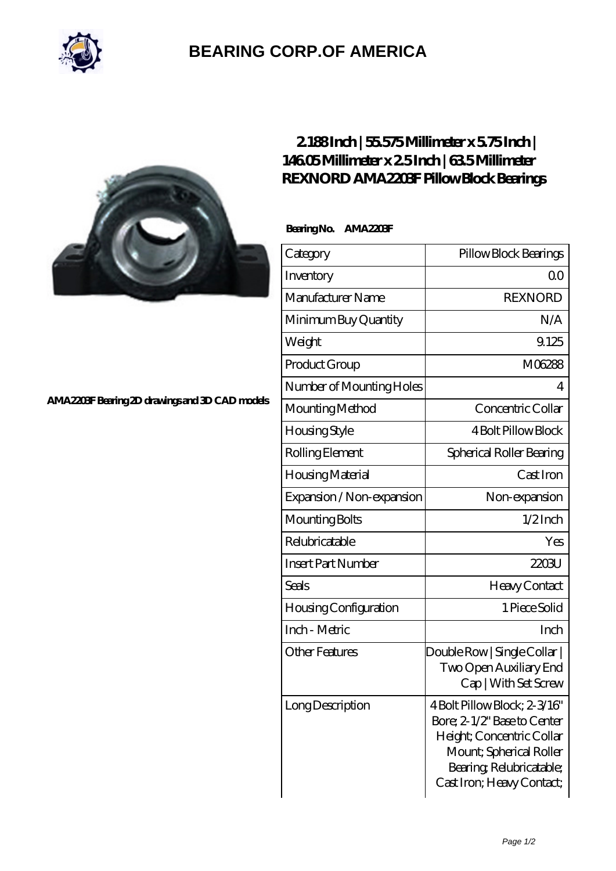

## **[BEARING CORP.OF AMERICA](https://bluemondayreview.com)**



## **[2.188 Inch | 55.575 Millimeter x 5.75 Inch |](https://bluemondayreview.com/bb-176811-rexnord-ama2203f-pillow-block-bearings.html) [146.05 Millimeter x 2.5 Inch | 63.5 Millimeter](https://bluemondayreview.com/bb-176811-rexnord-ama2203f-pillow-block-bearings.html) [REXNORD AMA2203F Pillow Block Bearings](https://bluemondayreview.com/bb-176811-rexnord-ama2203f-pillow-block-bearings.html)**

 **Bearing No. AMA2203F**

| Category                     | Pillow Block Bearings                                                                                                                                                        |
|------------------------------|------------------------------------------------------------------------------------------------------------------------------------------------------------------------------|
| Inventory                    | Q0                                                                                                                                                                           |
| Manufacturer Name            | <b>REXNORD</b>                                                                                                                                                               |
| Minimum Buy Quantity         | N/A                                                                                                                                                                          |
| Weight                       | 9.125                                                                                                                                                                        |
| Product Group                | M06288                                                                                                                                                                       |
| Number of Mounting Holes     | 4                                                                                                                                                                            |
| Mounting Method              | Concentric Collar                                                                                                                                                            |
| Housing Style                | <b>4 Bolt Pillow Block</b>                                                                                                                                                   |
| Rolling Element              | Spherical Roller Bearing                                                                                                                                                     |
| Housing Material             | Cast Iron                                                                                                                                                                    |
| Expansion / Non-expansion    | Non-expansion                                                                                                                                                                |
| Mounting Bolts               | $1/2$ Inch                                                                                                                                                                   |
| Relubricatable               | Yes                                                                                                                                                                          |
| <b>Insert Part Number</b>    | 2203U                                                                                                                                                                        |
| <b>Seals</b>                 | Heavy Contact                                                                                                                                                                |
| <b>Housing Configuration</b> | 1 Piece Solid                                                                                                                                                                |
| Inch - Metric                | Inch                                                                                                                                                                         |
| <b>Other Features</b>        | Double Row   Single Collar  <br>Two Open Auxiliary End<br>Cap   With Set Screw                                                                                               |
| Long Description             | 4 Bolt Pillow Block; 2-3/16"<br>Bore; 2-1/2" Base to Center<br>Height; Concentric Collar<br>Mount; Spherical Roller<br>Bearing, Relubricatable;<br>Cast Iron; Heavy Contact; |

**[AMA2203F Bearing 2D drawings and 3D CAD models](https://bluemondayreview.com/pic-176811.html)**